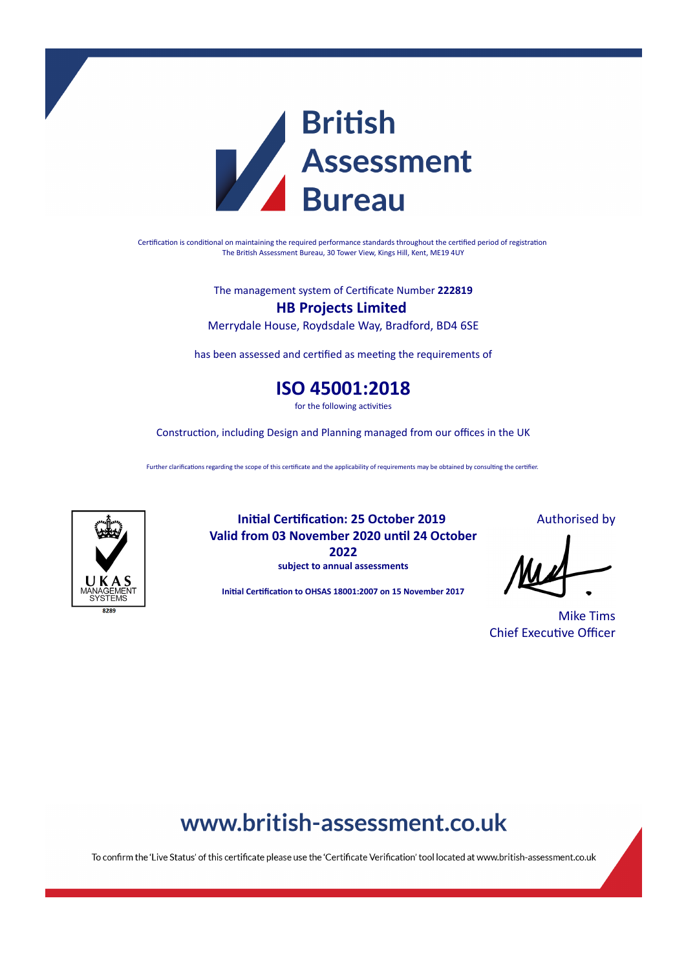

Certification is conditional on maintaining the required performance standards throughout the certified period of registration The British Assessment Bureau, 30 Tower View, Kings Hill, Kent, ME19 4UY

The management system of Cerficate Number **222819**

**HB Projects Limited** Merrydale House, Roydsdale Way, Bradford, BD4 6SE

has been assessed and certified as meeting the requirements of

## **ISO 45001:2018**

for the following activities

Construction, including Design and Planning managed from our offices in the UK

Further clarifications regarding the scope of this certificate and the applicability of requirements may be obtained by consulting the certifier.



**Initial Certification: 25 October 2019 Valid from 03 November 2020 until 24 October 2022 subject to annual assessments**

**Inial Cerficaon to OHSAS 18001:2007 on 15 November 2017**

Authorised by

Mike Tims **Chief Executive Officer** 

# www.british-assessment.co.uk

To confirm the 'Live Status' of this certificate please use the 'Certificate Verification' tool located at www.british-assessment.co.uk